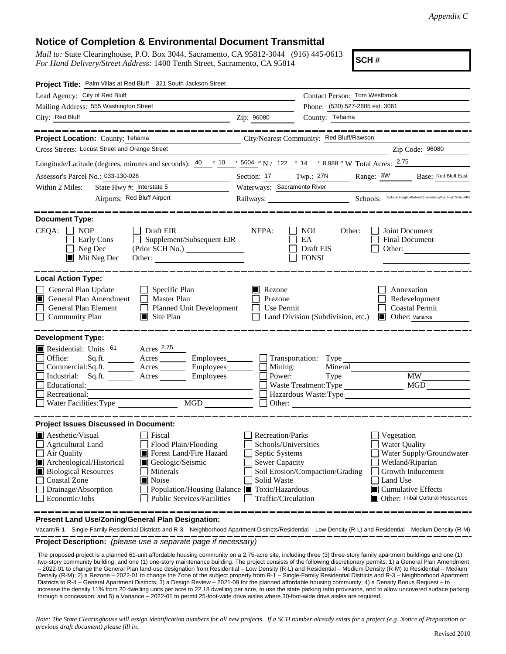## **Notice of Completion & Environmental Document Transmittal**

*Mail to:* State Clearinghouse, P.O. Box 3044, Sacramento, CA 95812-3044 (916) 445-0613 *For Hand Delivery/Street Address:* 1400 Tenth Street, Sacramento, CA 95814

**SCH #**

| Project Title: Palm Villas at Red Bluff - 321 South Jackson Street                                                                                                                                                                                                                                                                                                                                                                                                       |                                                                                                                           |                                                                                             |                                                                                                                           |                                                               |
|--------------------------------------------------------------------------------------------------------------------------------------------------------------------------------------------------------------------------------------------------------------------------------------------------------------------------------------------------------------------------------------------------------------------------------------------------------------------------|---------------------------------------------------------------------------------------------------------------------------|---------------------------------------------------------------------------------------------|---------------------------------------------------------------------------------------------------------------------------|---------------------------------------------------------------|
| Lead Agency: City of Red Bluff                                                                                                                                                                                                                                                                                                                                                                                                                                           | Contact Person: Tom Westbrook                                                                                             |                                                                                             |                                                                                                                           |                                                               |
| Mailing Address: 555 Washington Street                                                                                                                                                                                                                                                                                                                                                                                                                                   |                                                                                                                           | Phone: (530) 527-2605 ext. 3061<br>County: Tehama                                           |                                                                                                                           |                                                               |
| City: Red Bluff                                                                                                                                                                                                                                                                                                                                                                                                                                                          | Zip: 96080                                                                                                                |                                                                                             |                                                                                                                           |                                                               |
| Project Location: County: Tehama<br>City/Nearest Community: Red Bluff/Rawson<br>Cross Streets: Locust Street and Orange Street                                                                                                                                                                                                                                                                                                                                           |                                                                                                                           |                                                                                             | ____________                                                                                                              | Zip Code: 96080                                               |
|                                                                                                                                                                                                                                                                                                                                                                                                                                                                          |                                                                                                                           |                                                                                             |                                                                                                                           |                                                               |
| Longitude/Latitude (degrees, minutes and seconds): $\frac{40}{10}$ $\frac{10}{10}$ $\frac{15604}{10}$ N / 122 ° 14 ' 8.988" W Total Acres: $\frac{2.75}{10}$                                                                                                                                                                                                                                                                                                             |                                                                                                                           |                                                                                             |                                                                                                                           |                                                               |
| Assessor's Parcel No.: 033-130-028                                                                                                                                                                                                                                                                                                                                                                                                                                       | Section: 17                                                                                                               | Twp.: 27N                                                                                   | Range: 3W                                                                                                                 | Base: Red Bluff East                                          |
| State Hwy #: Interstate 5<br>Within 2 Miles:<br>Airports: Red Bluff Airport                                                                                                                                                                                                                                                                                                                                                                                              | Waterways: Sacramento River<br>Schools: Jackson Heights/Bidwell Elementary/Red High School/Re<br>Railways: New York 1988  |                                                                                             |                                                                                                                           |                                                               |
|                                                                                                                                                                                                                                                                                                                                                                                                                                                                          |                                                                                                                           |                                                                                             |                                                                                                                           |                                                               |
| <b>Document Type:</b><br>$CEQA: \Box NOP$<br>$\Box$ Draft EIR<br>$\Box$ Supplement/Subsequent EIR<br>Early Cons<br>Neg Dec<br>$\blacksquare$ Mit Neg Dec<br>Other:                                                                                                                                                                                                                                                                                                       | NEPA:                                                                                                                     | $\Box$ NOI<br>Other:<br>EA<br>Draft EIS<br><b>FONSI</b>                                     | Joint Document<br><b>Final Document</b>                                                                                   | Other:                                                        |
| <b>Local Action Type:</b>                                                                                                                                                                                                                                                                                                                                                                                                                                                |                                                                                                                           |                                                                                             |                                                                                                                           |                                                               |
| General Plan Update<br>Specific Plan<br>General Plan Amendment<br>Master Plan<br>$\Box$<br>General Plan Element<br><b>Planned Unit Development</b><br>Site Plan<br><b>Community Plan</b>                                                                                                                                                                                                                                                                                 | Rezone<br>Prezone<br>Use Permit                                                                                           | Land Division (Subdivision, etc.)                                                           | Annexation<br><b>Coastal Permit</b><br>Other: Variance<br>LШ                                                              | Redevelopment                                                 |
| <b>Development Type:</b>                                                                                                                                                                                                                                                                                                                                                                                                                                                 |                                                                                                                           |                                                                                             |                                                                                                                           |                                                               |
| Acres 2.75<br>Residential: Units 61<br>$\Box$<br>Office:<br>Sq.ft.<br>Acres<br>$\Box$<br>Commercial:Sq.ft.<br>Acres<br>Industrial: Sq.ft.<br>Employees<br>Acres<br>$\Box$<br>Educational:<br>Recreational:<br><b>MGD</b><br>$\Box$ Water Facilities: Type                                                                                                                                                                                                                | $\Box$ Mining:<br>Power:<br>$\Box$ Other:                                                                                 | $\Box$ Transportation: Type<br>Mineral<br>Waste Treatment: Type MGD<br>Hazardous Waste:Type | <b>MW</b>                                                                                                                 | <u> 1989 - Johann Stein, mars an deutscher Stein († 1989)</u> |
| <b>Project Issues Discussed in Document:</b>                                                                                                                                                                                                                                                                                                                                                                                                                             |                                                                                                                           |                                                                                             |                                                                                                                           |                                                               |
| $\blacksquare$ Aesthetic/Visual<br>$\Box$ Fiscal<br>Flood Plain/Flooding<br>Agricultural Land<br>Forest Land/Fire Hazard<br>Air Quality<br>Geologic/Seismic<br>Archeological/Historical<br>Ш<br><b>Biological Resources</b><br>Minerals<br>$\mathcal{L}_{\mathcal{A}}$<br>Noise<br>Coastal Zone<br>IП<br>$\mathcal{L}_{\mathcal{A}}$<br>Drainage/Absorption<br>Population/Housing Balance ■ Toxic/Hazardous<br>$\Box$ Economic/Jobs<br><b>Public Services/Facilities</b> | Recreation/Parks<br>Schools/Universities<br>Septic Systems<br><b>Sewer Capacity</b><br>Solid Waste<br>Traffic/Circulation | Soil Erosion/Compaction/Grading                                                             | Vegetation<br><b>Water Quality</b><br>Wetland/Riparian<br>Growth Inducement<br>Land Use<br>$\Box$ Cumulative Effects<br>ш | Water Supply/Groundwater<br>Other: Tribal Cultural Resources  |

**Present Land Use/Zoning/General Plan Designation:**

**Project Description:** *(please use a separate page if necessary)* Vacant/R-1 – Single-Family Residential Districts and R-3 – Neighborhood Apartment Districts/Residential – Low Density (R-L) and Residential – Medium Density (R-M)

 The proposed project is a planned 61-unit affordable housing community on a 2.75-acre site, including three (3) three-story family apartment buildings and one (1) two-story community building, and one (1) one-story maintenance building. The project consists of the following discretionary permits: 1) a General Plan Amendment – 2022-01 to change the General Plan land-use designation from Residential – Low Density (R-L) and Residential – Medium Density (R-M) to Residential – Medium Density (R-M); 2) a Rezone – 2022-01 to change the Zone of the subject property from R-1 – Single-Family Residential Districts and R-3 – Neighborhood Apartment Districts to R-4 – General Apartment Districts; 3) a Design Review – 2021-09 for the planned affordable housing community; 4) a Density Bonus Request – to increase the density 11% from 20 dwelling units per acre to 22.18 dwelling per acre, to use the state parking ratio provisions, and to allow uncovered surface parking through a concession; and 5) a Variance – 2022-01 to permit 25-foot-wide drive aisles where 30-foot-wide drive aisles are required.

*Note: The State Clearinghouse will assign identification numbers for all new projects. If a SCH number already exists for a project (e.g. Notice of Preparation or previous draft document) please fill in.*